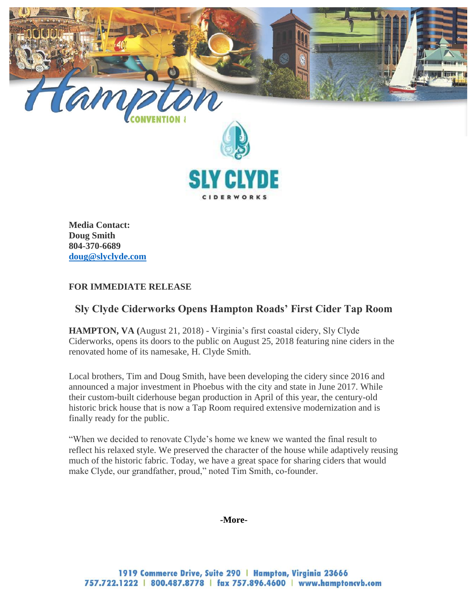

**Media Contact: Doug Smith 804-370-6689 [doug@slyclyde.com](mailto:doug@slyclyde.com)**

### **FOR IMMEDIATE RELEASE**

# **Sly Clyde Ciderworks Opens Hampton Roads' First Cider Tap Room**

**HAMPTON, VA (**August 21, 2018) - Virginia's first coastal cidery, Sly Clyde Ciderworks, opens its doors to the public on August 25, 2018 featuring nine ciders in the renovated home of its namesake, H. Clyde Smith.

Local brothers, Tim and Doug Smith, have been developing the cidery since 2016 and announced a major investment in Phoebus with the city and state in June 2017. While their custom-built ciderhouse began production in April of this year, the century-old historic brick house that is now a Tap Room required extensive modernization and is finally ready for the public.

"When we decided to renovate Clyde's home we knew we wanted the final result to reflect his relaxed style. We preserved the character of the house while adaptively reusing much of the historic fabric. Today, we have a great space for sharing ciders that would make Clyde, our grandfather, proud," noted Tim Smith, co-founder.

#### **-More-**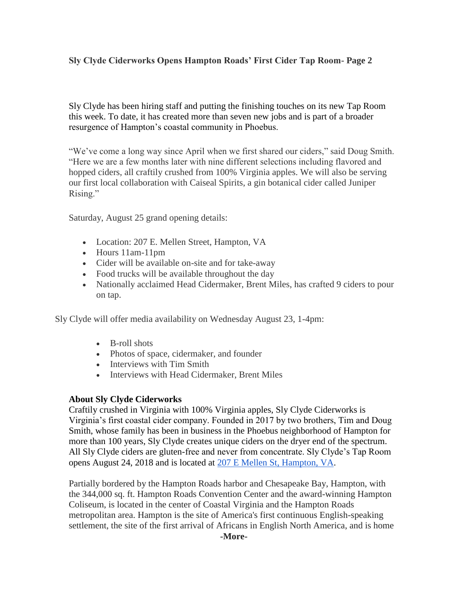## **Sly Clyde Ciderworks Opens Hampton Roads' First Cider Tap Room- Page 2**

Sly Clyde has been hiring staff and putting the finishing touches on its new Tap Room this week. To date, it has created more than seven new jobs and is part of a broader resurgence of Hampton's coastal community in Phoebus.

"We've come a long way since April when we first shared our ciders," said Doug Smith. "Here we are a few months later with nine different selections including flavored and hopped ciders, all craftily crushed from 100% Virginia apples. We will also be serving our first local collaboration with Caiseal Spirits, a gin botanical cider called Juniper Rising."

Saturday, August 25 grand opening details:

- Location: 207 E. Mellen Street, Hampton, VA
- Hours 11am-11pm
- Cider will be available on-site and for take-away
- Food trucks will be available throughout the day
- Nationally acclaimed Head Cidermaker, Brent Miles, has crafted 9 ciders to pour on tap.

Sly Clyde will offer media availability on Wednesday August 23, 1-4pm:

- B-roll shots
- Photos of space, cidermaker, and founder
- Interviews with Tim Smith
- Interviews with Head Cidermaker, Brent Miles

### **About Sly Clyde Ciderworks**

Craftily crushed in Virginia with 100% Virginia apples, Sly Clyde Ciderworks is Virginia's first coastal cider company. Founded in 2017 by two brothers, Tim and Doug Smith, whose family has been in business in the Phoebus neighborhood of Hampton for more than 100 years, Sly Clyde creates unique ciders on the dryer end of the spectrum. All Sly Clyde ciders are gluten-free and never from concentrate. Sly Clyde's Tap Room opens August 24, 2018 and is located at [207 E Mellen St, Hampton, VA.](https://maps.google.com/?q=207+E+Mellen+St,+Hampton,+VA&entry=gmail&source=g)

Partially bordered by the Hampton Roads harbor and Chesapeake Bay, Hampton, with the 344,000 sq. ft. Hampton Roads Convention Center and the award-winning Hampton Coliseum, is located in the center of Coastal Virginia and the Hampton Roads metropolitan area. Hampton is the site of America's first continuous English-speaking settlement, the site of the first arrival of Africans in English North America, and is home

**-More-**